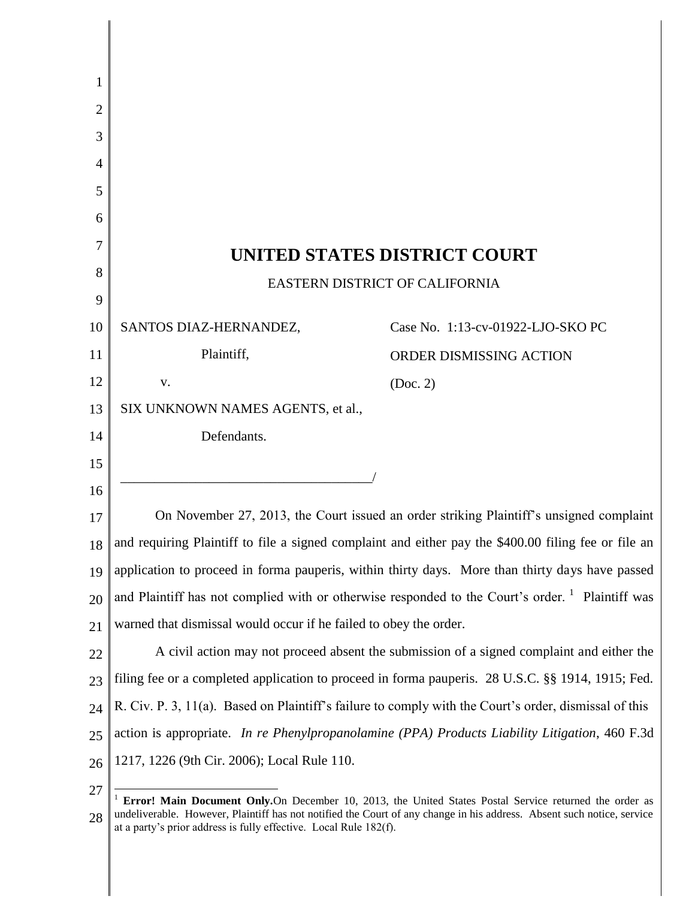| 1              |                                                                                                             |                                   |  |
|----------------|-------------------------------------------------------------------------------------------------------------|-----------------------------------|--|
| $\overline{2}$ |                                                                                                             |                                   |  |
| 3              |                                                                                                             |                                   |  |
| 4              |                                                                                                             |                                   |  |
| 5              |                                                                                                             |                                   |  |
| 6              |                                                                                                             |                                   |  |
| 7              | UNITED STATES DISTRICT COURT                                                                                |                                   |  |
| 8              | EASTERN DISTRICT OF CALIFORNIA                                                                              |                                   |  |
| 9              |                                                                                                             |                                   |  |
| 10             | SANTOS DIAZ-HERNANDEZ,                                                                                      | Case No. 1:13-cv-01922-LJO-SKO PC |  |
| 11             | Plaintiff,                                                                                                  | ORDER DISMISSING ACTION           |  |
| 12             | V.                                                                                                          | (Doc. 2)                          |  |
| 13             | SIX UNKNOWN NAMES AGENTS, et al.,                                                                           |                                   |  |
| 14             | Defendants.                                                                                                 |                                   |  |
| 15             |                                                                                                             |                                   |  |
| 16             |                                                                                                             |                                   |  |
| 17             | On November 27, 2013, the Court issued an order striking Plaintiff's unsigned complaint                     |                                   |  |
| 18             | and requiring Plaintiff to file a signed complaint and either pay the \$400.00 filing fee or file an        |                                   |  |
| 19             | application to proceed in forma pauperis, within thirty days. More than thirty days have passed             |                                   |  |
| 20             | and Plaintiff has not complied with or otherwise responded to the Court's order. <sup>1</sup> Plaintiff was |                                   |  |
| 21             | warned that dismissal would occur if he failed to obey the order.                                           |                                   |  |
| 22             | A civil action may not proceed absent the submission of a signed complaint and either the                   |                                   |  |
| 23             | filing fee or a completed application to proceed in forma pauperis. 28 U.S.C. §§ 1914, 1915; Fed.           |                                   |  |
| 24             | R. Civ. P. 3, 11(a). Based on Plaintiff's failure to comply with the Court's order, dismissal of this       |                                   |  |
| 25             | action is appropriate. In re Phenylpropanolamine (PPA) Products Liability Litigation, 460 F.3d              |                                   |  |
| 26             | 1217, 1226 (9th Cir. 2006); Local Rule 110.                                                                 |                                   |  |
| 27             |                                                                                                             |                                   |  |

<sup>27</sup> 28 <sup>1</sup> **Error! Main Document Only.**On December 10, 2013, the United States Postal Service returned the order as undeliverable. However, Plaintiff has not notified the Court of any change in his address. Absent such notice, service at a party's prior address is fully effective. Local Rule 182(f).